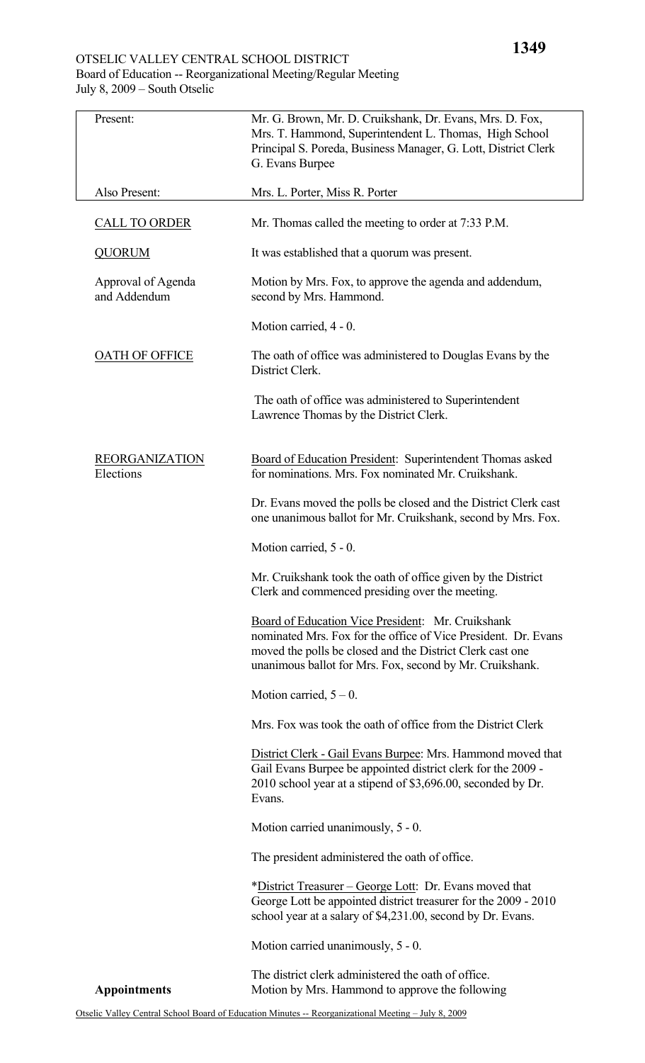## OTSELIC VALLEY CENTRAL SCHOOL DISTRICT Board of Education -- Reorganizational Meeting/Regular Meeting July 8, 2009 – South Otselic

| Present:                           | Mr. G. Brown, Mr. D. Cruikshank, Dr. Evans, Mrs. D. Fox,<br>Mrs. T. Hammond, Superintendent L. Thomas, High School<br>Principal S. Poreda, Business Manager, G. Lott, District Clerk<br>G. Evans Burpee                                      |  |
|------------------------------------|----------------------------------------------------------------------------------------------------------------------------------------------------------------------------------------------------------------------------------------------|--|
| Also Present:                      | Mrs. L. Porter, Miss R. Porter                                                                                                                                                                                                               |  |
| <b>CALL TO ORDER</b>               | Mr. Thomas called the meeting to order at 7:33 P.M.                                                                                                                                                                                          |  |
| <b>QUORUM</b>                      | It was established that a quorum was present.                                                                                                                                                                                                |  |
| Approval of Agenda<br>and Addendum | Motion by Mrs. Fox, to approve the agenda and addendum,<br>second by Mrs. Hammond.                                                                                                                                                           |  |
|                                    | Motion carried, 4 - 0.                                                                                                                                                                                                                       |  |
| <b>OATH OF OFFICE</b>              | The oath of office was administered to Douglas Evans by the<br>District Clerk.                                                                                                                                                               |  |
|                                    | The oath of office was administered to Superintendent<br>Lawrence Thomas by the District Clerk.                                                                                                                                              |  |
| <b>REORGANIZATION</b><br>Elections | Board of Education President: Superintendent Thomas asked<br>for nominations. Mrs. Fox nominated Mr. Cruikshank.                                                                                                                             |  |
|                                    | Dr. Evans moved the polls be closed and the District Clerk cast<br>one unanimous ballot for Mr. Cruikshank, second by Mrs. Fox.                                                                                                              |  |
|                                    | Motion carried, 5 - 0.                                                                                                                                                                                                                       |  |
|                                    | Mr. Cruikshank took the oath of office given by the District<br>Clerk and commenced presiding over the meeting.                                                                                                                              |  |
|                                    | Board of Education Vice President: Mr. Cruikshank<br>nominated Mrs. Fox for the office of Vice President. Dr. Evans<br>moved the polls be closed and the District Clerk cast one<br>unanimous ballot for Mrs. Fox, second by Mr. Cruikshank. |  |
|                                    | Motion carried, $5 - 0$ .                                                                                                                                                                                                                    |  |
|                                    | Mrs. Fox was took the oath of office from the District Clerk                                                                                                                                                                                 |  |
|                                    | District Clerk - Gail Evans Burpee: Mrs. Hammond moved that<br>Gail Evans Burpee be appointed district clerk for the 2009 -<br>2010 school year at a stipend of \$3,696.00, seconded by Dr.<br>Evans.                                        |  |
|                                    | Motion carried unanimously, 5 - 0.                                                                                                                                                                                                           |  |
|                                    | The president administered the oath of office.                                                                                                                                                                                               |  |
|                                    | *District Treasurer – George Lott: Dr. Evans moved that<br>George Lott be appointed district treasurer for the 2009 - 2010<br>school year at a salary of \$4,231.00, second by Dr. Evans.                                                    |  |
|                                    | Motion carried unanimously, 5 - 0.                                                                                                                                                                                                           |  |
| <b>Appointments</b>                | The district clerk administered the oath of office.<br>Motion by Mrs. Hammond to approve the following                                                                                                                                       |  |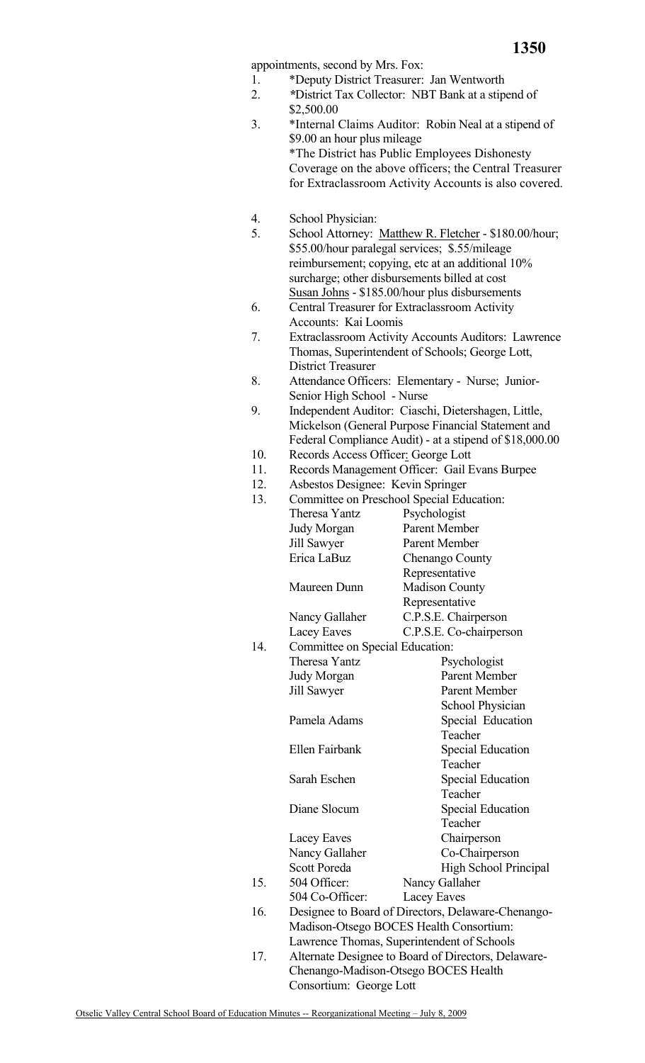**1350**

appointments, second by Mrs. Fox:

- 1. \*Deputy District Treasurer: Jan Wentworth
- 2. *\**District Tax Collector: NBT Bank at a stipend of \$2,500.00
- 3. \*Internal Claims Auditor: Robin Neal at a stipend of \$9.00 an hour plus mileage \*The District has Public Employees Dishonesty Coverage on the above officers; the Central Treasurer for Extraclassroom Activity Accounts is also covered.
- 4. School Physician:
- 5. School Attorney: Matthew R. Fletcher \$180.00/hour; \$55.00/hour paralegal services; \$.55/mileage reimbursement; copying, etc at an additional 10% surcharge; other disbursements billed at cost Susan Johns - \$185.00/hour plus disbursements
- 6. Central Treasurer for Extraclassroom Activity Accounts: Kai Loomis
- 7. Extraclassroom Activity Accounts Auditors: Lawrence Thomas, Superintendent of Schools; George Lott, District Treasurer
- 8. Attendance Officers: Elementary Nurse; Junior- Senior High School - Nurse
- 9. Independent Auditor: Ciaschi, Dietershagen, Little, Mickelson (General Purpose Financial Statement and Federal Compliance Audit) - at a stipend of \$18,000.00
- 10. Records Access Officer: George Lott
- 11. Records Management Officer: Gail Evans Burpee
- 12. Asbestos Designee: Kevin Springer

| 12. | ASDESIOS DESIGNEE. NEVIII SPIIIIGEI        |                                                    |  |  |
|-----|--------------------------------------------|----------------------------------------------------|--|--|
| 13. | Committee on Preschool Special Education:  |                                                    |  |  |
|     | <b>Theresa Yantz</b>                       | Psychologist                                       |  |  |
|     | Judy Morgan                                | Parent Member                                      |  |  |
|     | Jill Sawyer                                | Parent Member                                      |  |  |
|     | Erica LaBuz                                | Chenango County                                    |  |  |
|     |                                            | Representative                                     |  |  |
|     | Maureen Dunn                               | <b>Madison County</b>                              |  |  |
|     |                                            | Representative                                     |  |  |
|     | Nancy Gallaher                             | C.P.S.E. Chairperson                               |  |  |
|     | Lacey Eaves                                | C.P.S.E. Co-chairperson                            |  |  |
| 14. | Committee on Special Education:            |                                                    |  |  |
|     | <b>Theresa Yantz</b>                       | Psychologist                                       |  |  |
|     | Judy Morgan                                | Parent Member                                      |  |  |
|     | <b>Jill Sawyer</b>                         | Parent Member                                      |  |  |
|     |                                            | School Physician                                   |  |  |
|     | Pamela Adams                               | Special Education                                  |  |  |
|     |                                            | Teacher                                            |  |  |
|     | Ellen Fairbank                             | <b>Special Education</b>                           |  |  |
|     |                                            | Teacher                                            |  |  |
|     | Sarah Eschen                               | <b>Special Education</b>                           |  |  |
|     |                                            | Teacher                                            |  |  |
|     | Diane Slocum                               | <b>Special Education</b>                           |  |  |
|     |                                            | Teacher                                            |  |  |
|     | Lacey Eaves                                | Chairperson                                        |  |  |
|     | Nancy Gallaher                             | Co-Chairperson                                     |  |  |
|     | <b>Scott Poreda</b>                        | High School Principal                              |  |  |
| 15. | 504 Officer:                               | Nancy Gallaher                                     |  |  |
|     | 504 Co-Officer:                            | Lacey Eaves                                        |  |  |
| 16. |                                            | Designee to Board of Directors, Delaware-Chenango- |  |  |
|     |                                            | Madison-Otsego BOCES Health Consortium:            |  |  |
|     | Lawrence Thomas, Superintendent of Schools |                                                    |  |  |

17. Alternate Designee to Board of Directors, Delaware-Chenango-Madison-Otsego BOCES Health Consortium: George Lott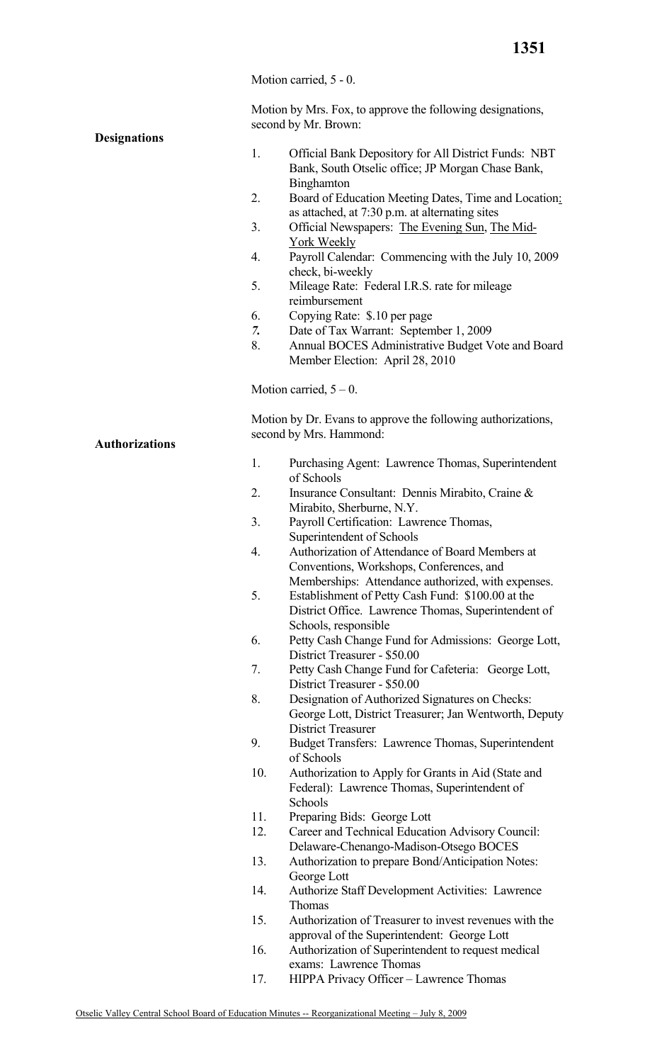Motion carried, 5 - 0.

Motion by Mrs. Fox, to approve the following designations, second by Mr. Brown:

## **Designations**

- 1. Official Bank Depository for All District Funds: NBT Bank, South Otselic office; JP Morgan Chase Bank, **Binghamton**
- 2. Board of Education Meeting Dates, Time and Location: as attached, at 7:30 p.m. at alternating sites
- 3. Official Newspapers: The Evening Sun, The Mid- York Weekly
- 4. Payroll Calendar: Commencing with the July 10, 2009 check, bi-weekly
- 5. Mileage Rate: Federal I.R.S. rate for mileage reimbursement
- 6. Copying Rate: \$.10 per page
- *7.* Date of Tax Warrant: September 1, 2009
- 8. Annual BOCES Administrative Budget Vote and Board Member Election: April 28, 2010

Motion carried,  $5 - 0$ .

Motion by Dr. Evans to approve the following authorizations, second by Mrs. Hammond:

- 1. Purchasing Agent: Lawrence Thomas, Superintendent of Schools
- 2. Insurance Consultant: Dennis Mirabito, Craine & Mirabito, Sherburne, N.Y.
- 3. Payroll Certification: Lawrence Thomas, Superintendent of Schools
- 4. Authorization of Attendance of Board Members at Conventions, Workshops, Conferences, and Memberships: Attendance authorized, with expenses.
- 5. Establishment of Petty Cash Fund: \$100.00 at the District Office. Lawrence Thomas, Superintendent of Schools, responsible
- 6. Petty Cash Change Fund for Admissions: George Lott, District Treasurer - \$50.00
- 7. Petty Cash Change Fund for Cafeteria: George Lott, District Treasurer - \$50.00
- 8. Designation of Authorized Signatures on Checks: George Lott, District Treasurer; Jan Wentworth, Deputy District Treasurer
- 9. Budget Transfers: Lawrence Thomas, Superintendent of Schools
- 10. Authorization to Apply for Grants in Aid (State and Federal): Lawrence Thomas, Superintendent of Schools
- 11. Preparing Bids: George Lott
- 12. Career and Technical Education Advisory Council: Delaware-Chenango-Madison-Otsego BOCES
- 13. Authorization to prepare Bond/Anticipation Notes: George Lott
- 14. Authorize Staff Development Activities: Lawrence Thomas
- 15. Authorization of Treasurer to invest revenues with the approval of the Superintendent: George Lott
- 16. Authorization of Superintendent to request medical exams: Lawrence Thomas
- 17. HIPPA Privacy Officer Lawrence Thomas

**Authorizations**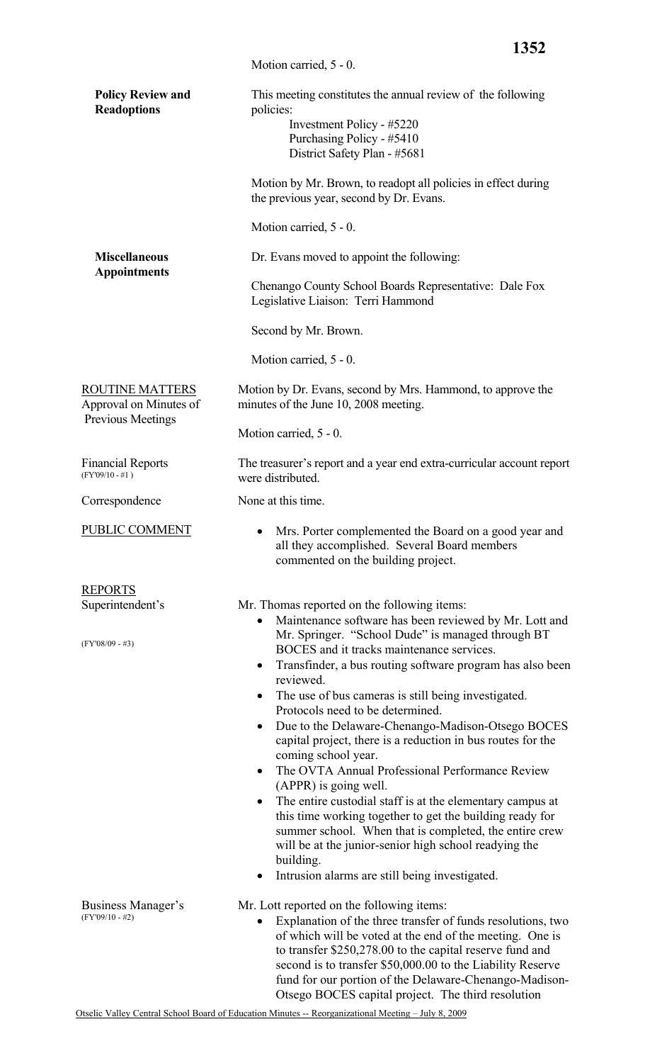|                                                                              | 1352                                                                                                                                                                                                                                                                                                                                                     |
|------------------------------------------------------------------------------|----------------------------------------------------------------------------------------------------------------------------------------------------------------------------------------------------------------------------------------------------------------------------------------------------------------------------------------------------------|
|                                                                              | Motion carried, 5 - 0.                                                                                                                                                                                                                                                                                                                                   |
| <b>Policy Review and</b><br><b>Readoptions</b>                               | This meeting constitutes the annual review of the following<br>policies:<br>Investment Policy - #5220<br>Purchasing Policy - #5410<br>District Safety Plan - #5681                                                                                                                                                                                       |
|                                                                              | Motion by Mr. Brown, to readopt all policies in effect during<br>the previous year, second by Dr. Evans.                                                                                                                                                                                                                                                 |
|                                                                              | Motion carried, 5 - 0.                                                                                                                                                                                                                                                                                                                                   |
| <b>Miscellaneous</b><br><b>Appointments</b>                                  | Dr. Evans moved to appoint the following:                                                                                                                                                                                                                                                                                                                |
|                                                                              | Chenango County School Boards Representative: Dale Fox<br>Legislative Liaison: Terri Hammond                                                                                                                                                                                                                                                             |
|                                                                              | Second by Mr. Brown.                                                                                                                                                                                                                                                                                                                                     |
|                                                                              | Motion carried, 5 - 0.                                                                                                                                                                                                                                                                                                                                   |
| <b>ROUTINE MATTERS</b><br>Approval on Minutes of<br><b>Previous Meetings</b> | Motion by Dr. Evans, second by Mrs. Hammond, to approve the<br>minutes of the June 10, 2008 meeting.                                                                                                                                                                                                                                                     |
|                                                                              | Motion carried, 5 - 0.                                                                                                                                                                                                                                                                                                                                   |
| <b>Financial Reports</b><br>$(FY'09/10 - #1)$                                | The treasurer's report and a year end extra-curricular account report<br>were distributed.                                                                                                                                                                                                                                                               |
| Correspondence                                                               | None at this time.                                                                                                                                                                                                                                                                                                                                       |
| PUBLIC COMMENT                                                               | Mrs. Porter complemented the Board on a good year and<br>all they accomplished. Several Board members<br>commented on the building project.                                                                                                                                                                                                              |
| <b>REPORTS</b>                                                               |                                                                                                                                                                                                                                                                                                                                                          |
| Superintendent's<br>$(FY'08/09 - #3)$                                        | Mr. Thomas reported on the following items:<br>Maintenance software has been reviewed by Mr. Lott and<br>Mr. Springer. "School Dude" is managed through BT<br>BOCES and it tracks maintenance services.                                                                                                                                                  |
|                                                                              | Transfinder, a bus routing software program has also been<br>$\bullet$<br>reviewed.<br>The use of bus cameras is still being investigated.<br>$\bullet$                                                                                                                                                                                                  |
|                                                                              | Protocols need to be determined.<br>Due to the Delaware-Chenango-Madison-Otsego BOCES<br>$\bullet$<br>capital project, there is a reduction in bus routes for the<br>coming school year.<br>The OVTA Annual Professional Performance Review<br>$\bullet$<br>(APPR) is going well.                                                                        |
|                                                                              | The entire custodial staff is at the elementary campus at<br>$\bullet$<br>this time working together to get the building ready for<br>summer school. When that is completed, the entire crew<br>will be at the junior-senior high school readying the<br>building.<br>Intrusion alarms are still being investigated.<br>٠                                |
| Business Manager's<br>$(FY'09/10 - #2)$                                      | Mr. Lott reported on the following items:<br>Explanation of the three transfer of funds resolutions, two<br>of which will be voted at the end of the meeting. One is<br>to transfer \$250,278.00 to the capital reserve fund and<br>second is to transfer \$50,000.00 to the Liability Reserve<br>fund for our portion of the Delaware-Chenango-Madison- |

Otsego BOCES capital project. The third resolution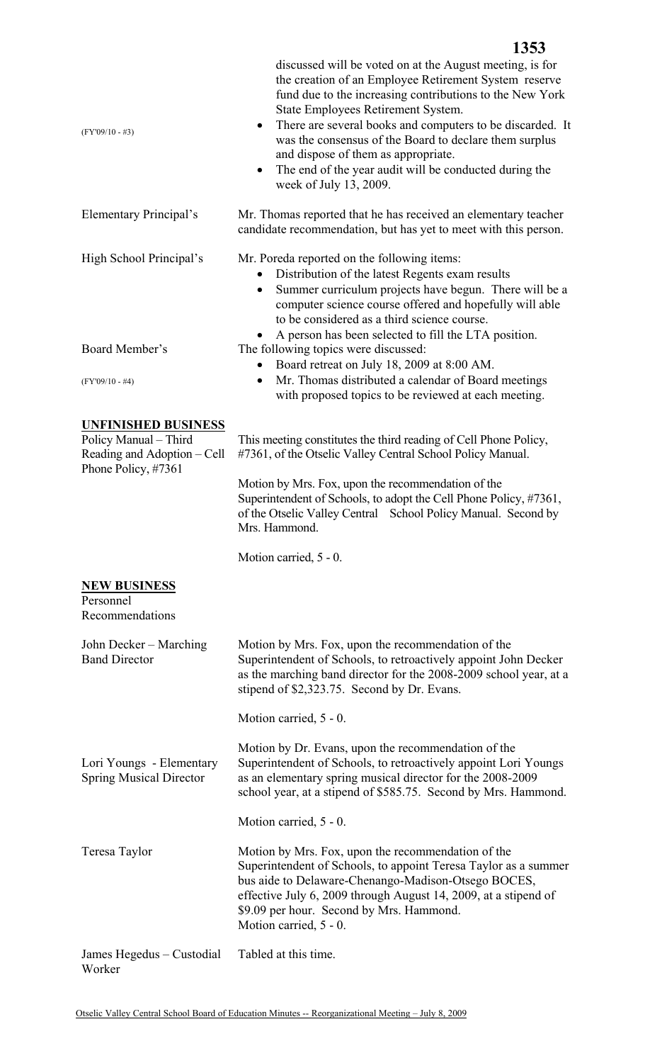| $(FY'09/10 - #3)$                                                                                         | discussed will be voted on at the August meeting, is for<br>the creation of an Employee Retirement System reserve<br>fund due to the increasing contributions to the New York<br>State Employees Retirement System.<br>There are several books and computers to be discarded. It<br>$\bullet$<br>was the consensus of the Board to declare them surplus<br>and dispose of them as appropriate.<br>The end of the year audit will be conducted during the<br>$\bullet$<br>week of July 13, 2009. |  |  |
|-----------------------------------------------------------------------------------------------------------|-------------------------------------------------------------------------------------------------------------------------------------------------------------------------------------------------------------------------------------------------------------------------------------------------------------------------------------------------------------------------------------------------------------------------------------------------------------------------------------------------|--|--|
| Elementary Principal's                                                                                    | Mr. Thomas reported that he has received an elementary teacher<br>candidate recommendation, but has yet to meet with this person.                                                                                                                                                                                                                                                                                                                                                               |  |  |
| High School Principal's                                                                                   | Mr. Poreda reported on the following items:<br>Distribution of the latest Regents exam results<br>Summer curriculum projects have begun. There will be a<br>$\bullet$<br>computer science course offered and hopefully will able<br>to be considered as a third science course.<br>A person has been selected to fill the LTA position.                                                                                                                                                         |  |  |
| Board Member's<br>$(FY'09/10 - #4)$                                                                       | The following topics were discussed:<br>Board retreat on July 18, 2009 at 8:00 AM.<br>Mr. Thomas distributed a calendar of Board meetings<br>$\bullet$<br>with proposed topics to be reviewed at each meeting.                                                                                                                                                                                                                                                                                  |  |  |
| <b>UNFINISHED BUSINESS</b><br>Policy Manual - Third<br>Reading and Adoption - Cell<br>Phone Policy, #7361 | This meeting constitutes the third reading of Cell Phone Policy,<br>#7361, of the Otselic Valley Central School Policy Manual.                                                                                                                                                                                                                                                                                                                                                                  |  |  |
|                                                                                                           | Motion by Mrs. Fox, upon the recommendation of the<br>Superintendent of Schools, to adopt the Cell Phone Policy, #7361,<br>of the Otselic Valley Central School Policy Manual. Second by<br>Mrs. Hammond.                                                                                                                                                                                                                                                                                       |  |  |
|                                                                                                           | Motion carried, 5 - 0.                                                                                                                                                                                                                                                                                                                                                                                                                                                                          |  |  |
| <b>NEW BUSINESS</b><br>Personnel<br>Recommendations                                                       |                                                                                                                                                                                                                                                                                                                                                                                                                                                                                                 |  |  |
| John Decker – Marching<br><b>Band Director</b>                                                            | Motion by Mrs. Fox, upon the recommendation of the<br>Superintendent of Schools, to retroactively appoint John Decker<br>as the marching band director for the 2008-2009 school year, at a<br>stipend of \$2,323.75. Second by Dr. Evans.                                                                                                                                                                                                                                                       |  |  |
|                                                                                                           | Motion carried, 5 - 0.                                                                                                                                                                                                                                                                                                                                                                                                                                                                          |  |  |
| Lori Youngs - Elementary<br><b>Spring Musical Director</b>                                                | Motion by Dr. Evans, upon the recommendation of the<br>Superintendent of Schools, to retroactively appoint Lori Youngs<br>as an elementary spring musical director for the 2008-2009<br>school year, at a stipend of \$585.75. Second by Mrs. Hammond.                                                                                                                                                                                                                                          |  |  |
|                                                                                                           | Motion carried, 5 - 0.                                                                                                                                                                                                                                                                                                                                                                                                                                                                          |  |  |
| Teresa Taylor                                                                                             | Motion by Mrs. Fox, upon the recommendation of the<br>Superintendent of Schools, to appoint Teresa Taylor as a summer<br>bus aide to Delaware-Chenango-Madison-Otsego BOCES,<br>effective July 6, 2009 through August 14, 2009, at a stipend of<br>\$9.09 per hour. Second by Mrs. Hammond.<br>Motion carried, 5 - 0.                                                                                                                                                                           |  |  |
| James Hegedus - Custodial<br>Worker                                                                       | Tabled at this time.                                                                                                                                                                                                                                                                                                                                                                                                                                                                            |  |  |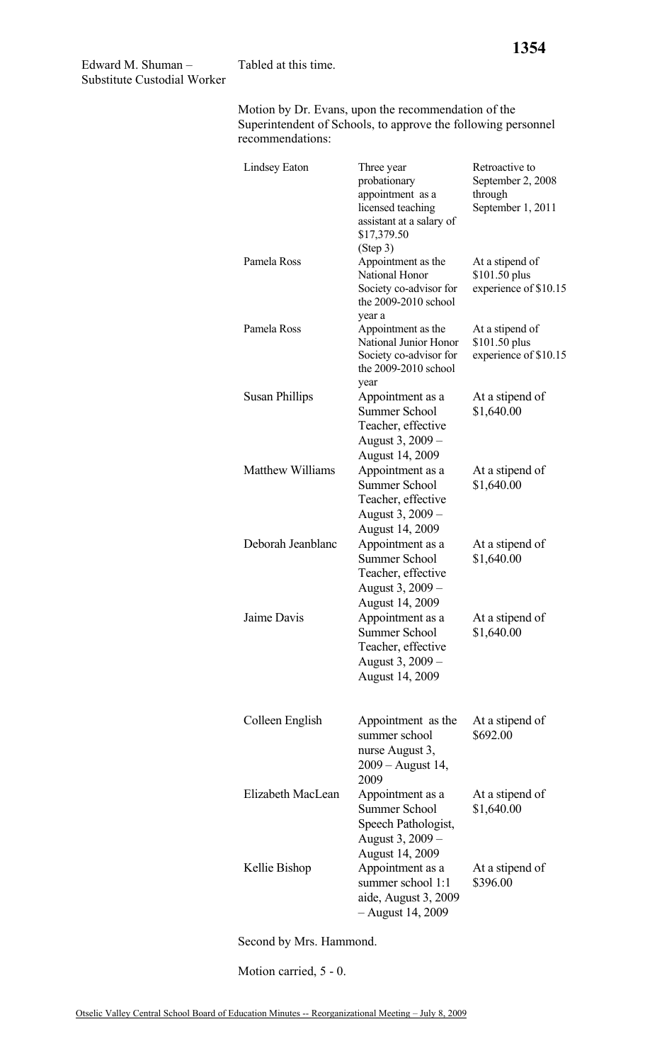Motion by Dr. Evans, upon the recommendation of the Superintendent of Schools, to approve the following personnel recommendations:

| Lindsey Eaton           | Three year<br>probationary<br>appointment as a<br>licensed teaching<br>assistant at a salary of<br>\$17,379.50 | Retroactive to<br>September 2, 2008<br>through<br>September 1, 2011 |
|-------------------------|----------------------------------------------------------------------------------------------------------------|---------------------------------------------------------------------|
| Pamela Ross             | (Step 3)<br>Appointment as the<br>National Honor<br>Society co-advisor for<br>the 2009-2010 school             | At a stipend of<br>\$101.50 plus<br>experience of \$10.15           |
| Pamela Ross             | year a<br>Appointment as the<br>National Junior Honor<br>Society co-advisor for<br>the 2009-2010 school        | At a stipend of<br>\$101.50 plus<br>experience of \$10.15           |
| <b>Susan Phillips</b>   | year<br>Appointment as a<br><b>Summer School</b><br>Teacher, effective<br>August 3, 2009 -<br>August 14, 2009  | At a stipend of<br>\$1,640.00                                       |
| <b>Matthew Williams</b> | Appointment as a<br><b>Summer School</b><br>Teacher, effective<br>August 3, 2009 –<br>August 14, 2009          | At a stipend of<br>\$1,640.00                                       |
| Deborah Jeanblanc       | Appointment as a<br><b>Summer School</b><br>Teacher, effective<br>August 3, 2009 –<br>August 14, 2009          | At a stipend of<br>\$1,640.00                                       |
| Jaime Davis             | Appointment as a<br><b>Summer School</b><br>Teacher, effective<br>August 3, 2009 -<br><b>August 14, 2009</b>   | At a stipend of<br>\$1,640.00                                       |
| Colleen English         | Appointment as the<br>summer school<br>nurse August 3,<br>2009 – August 14,<br>2009                            | At a stipend of<br>\$692.00                                         |
| Elizabeth MacLean       | Appointment as a<br><b>Summer School</b><br>Speech Pathologist,<br>August 3, 2009 –<br><b>August 14, 2009</b>  | At a stipend of<br>\$1,640.00                                       |
| Kellie Bishop           | Appointment as a<br>summer school 1:1<br>aide, August 3, 2009<br>- August 14, 2009                             | At a stipend of<br>\$396.00                                         |

Second by Mrs. Hammond.

Motion carried, 5 - 0.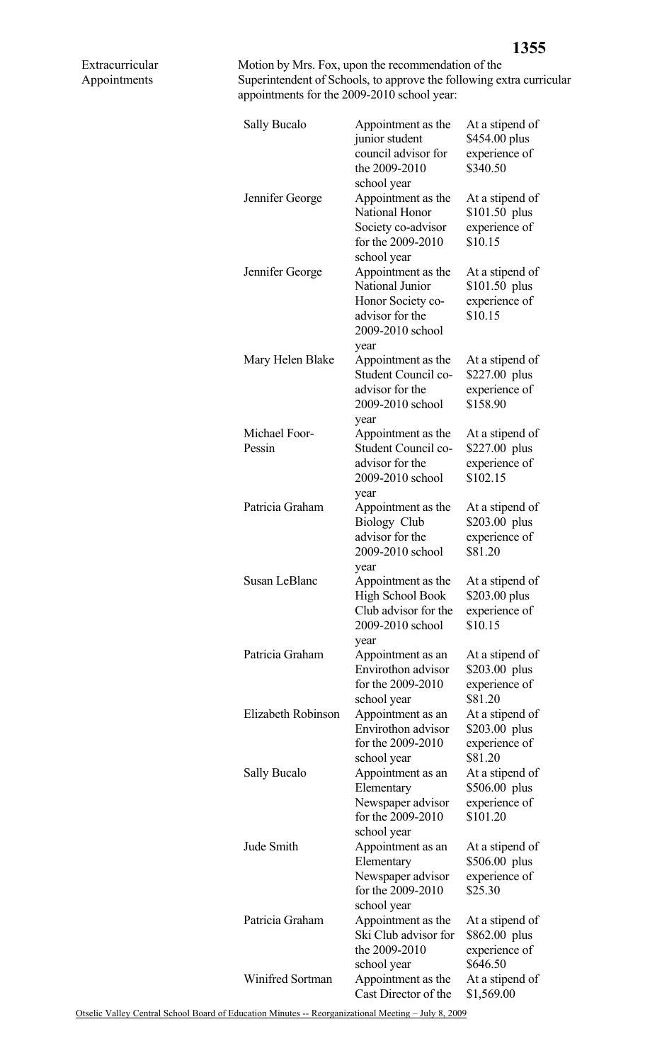Motion by Mrs. Fox, upon the recommendation of the Superintendent of Schools, to approve the following extra curricular appointments for the 2009-2010 school year:

| Sally Bucalo            | Appointment as the<br>junior student<br>council advisor for<br>the 2009-2010                                     | At a stipend of<br>\$454.00 plus<br>experience of<br>\$340.50 |
|-------------------------|------------------------------------------------------------------------------------------------------------------|---------------------------------------------------------------|
| Jennifer George         | school year<br>Appointment as the<br>National Honor<br>Society co-advisor<br>for the 2009-2010                   | At a stipend of<br>$$101.50$ plus<br>experience of<br>\$10.15 |
| Jennifer George         | school year<br>Appointment as the<br>National Junior<br>Honor Society co-<br>advisor for the<br>2009-2010 school | At a stipend of<br>$$101.50$ plus<br>experience of<br>\$10.15 |
| Mary Helen Blake        | year<br>Appointment as the<br>Student Council co-<br>advisor for the<br>2009-2010 school<br>year                 | At a stipend of<br>\$227.00 plus<br>experience of<br>\$158.90 |
| Michael Foor-<br>Pessin | Appointment as the<br>Student Council co-<br>advisor for the<br>2009-2010 school<br>year                         | At a stipend of<br>\$227.00 plus<br>experience of<br>\$102.15 |
| Patricia Graham         | Appointment as the<br><b>Biology Club</b><br>advisor for the<br>2009-2010 school                                 | At a stipend of<br>\$203.00 plus<br>experience of<br>\$81.20  |
| <b>Susan LeBlanc</b>    | year<br>Appointment as the<br><b>High School Book</b><br>Club advisor for the<br>2009-2010 school                | At a stipend of<br>\$203.00 plus<br>experience of<br>\$10.15  |
| Patricia Graham         | year<br>Appointment as an<br>Envirothon advisor<br>for the 2009-2010                                             | At a stipend of<br>\$203.00 plus<br>experience of<br>\$81.20  |
| Elizabeth Robinson      | school year<br>Appointment as an<br>Envirothon advisor<br>for the 2009-2010<br>school year                       | At a stipend of<br>\$203.00 plus<br>experience of<br>\$81.20  |
| Sally Bucalo            | Appointment as an<br>Elementary<br>Newspaper advisor<br>for the 2009-2010<br>school year                         | At a stipend of<br>\$506.00 plus<br>experience of<br>\$101.20 |
| Jude Smith              | Appointment as an<br>Elementary<br>Newspaper advisor<br>for the 2009-2010<br>school year                         | At a stipend of<br>\$506.00 plus<br>experience of<br>\$25.30  |
| Patricia Graham         | Appointment as the<br>Ski Club advisor for<br>the 2009-2010<br>school year                                       | At a stipend of<br>\$862.00 plus<br>experience of<br>\$646.50 |
| Winifred Sortman        | Appointment as the<br>Cast Director of the                                                                       | At a stipend of<br>\$1,569.00                                 |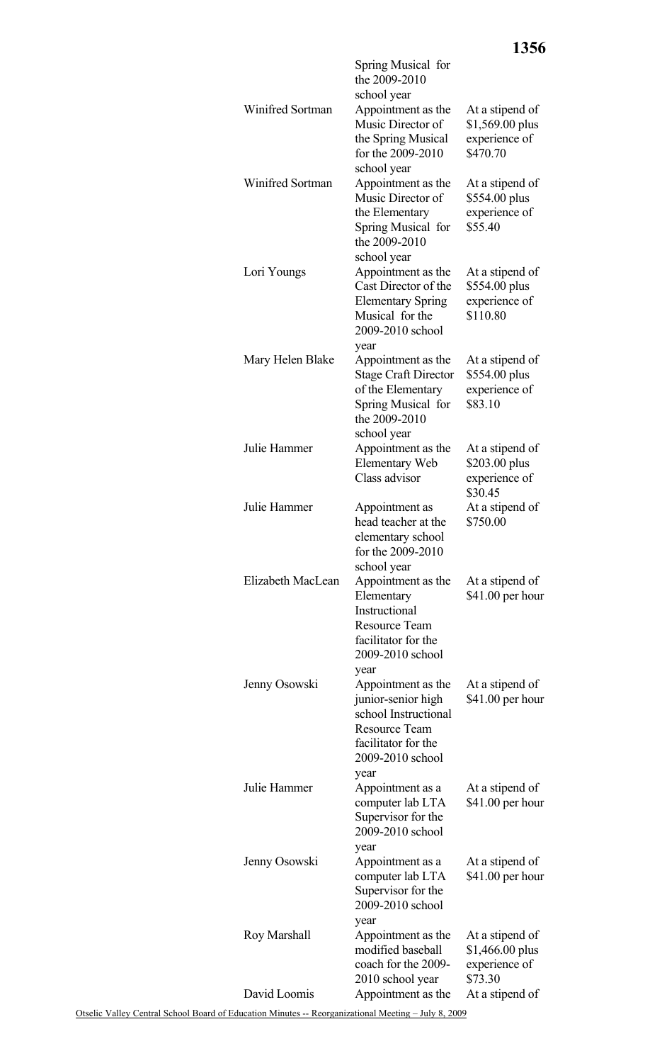|                         | Spring Musical for<br>the 2009-2010<br>school year                                                                                                              |                                                                 |
|-------------------------|-----------------------------------------------------------------------------------------------------------------------------------------------------------------|-----------------------------------------------------------------|
| <b>Winifred Sortman</b> | Appointment as the<br>Music Director of<br>the Spring Musical<br>for the 2009-2010                                                                              | At a stipend of<br>\$1,569.00 plus<br>experience of<br>\$470.70 |
| Winifred Sortman        | school year<br>Appointment as the<br>Music Director of<br>the Elementary<br>Spring Musical for                                                                  | At a stipend of<br>\$554.00 plus<br>experience of<br>\$55.40    |
| Lori Youngs             | the 2009-2010<br>school year<br>Appointment as the<br>Cast Director of the<br><b>Elementary Spring</b><br>Musical for the<br>2009-2010 school                   | At a stipend of<br>\$554.00 plus<br>experience of<br>\$110.80   |
| Mary Helen Blake        | year<br>Appointment as the<br><b>Stage Craft Director</b><br>of the Elementary<br>Spring Musical for<br>the 2009-2010                                           | At a stipend of<br>\$554.00 plus<br>experience of<br>\$83.10    |
| Julie Hammer            | school year<br>Appointment as the<br><b>Elementary Web</b><br>Class advisor                                                                                     | At a stipend of<br>\$203.00 plus<br>experience of<br>\$30.45    |
| Julie Hammer            | Appointment as<br>head teacher at the<br>elementary school<br>for the 2009-2010<br>school year                                                                  | At a stipend of<br>\$750.00                                     |
| Elizabeth MacLean       | Appointment as the<br>Elementary<br>Instructional<br><b>Resource Team</b><br>facilitator for the                                                                | At a stipend of<br>\$41.00 per hour                             |
| Jenny Osowski           | 2009-2010 school<br>year<br>Appointment as the<br>junior-senior high<br>school Instructional<br><b>Resource Team</b><br>facilitator for the<br>2009-2010 school | At a stipend of<br>$$41.00$ per hour                            |
| Julie Hammer            | year<br>Appointment as a<br>computer lab LTA<br>Supervisor for the<br>2009-2010 school                                                                          | At a stipend of<br>$$41.00$ per hour                            |
| Jenny Osowski           | year<br>Appointment as a<br>computer lab LTA<br>Supervisor for the<br>2009-2010 school                                                                          | At a stipend of<br>$$41.00$ per hour                            |
| Roy Marshall            | year<br>Appointment as the<br>modified baseball<br>coach for the 2009-<br>2010 school year                                                                      | At a stipend of<br>$$1,466.00$ plus<br>experience of<br>\$73.30 |
| David Loomis            | Appointment as the                                                                                                                                              | At a stipend of                                                 |

**1356**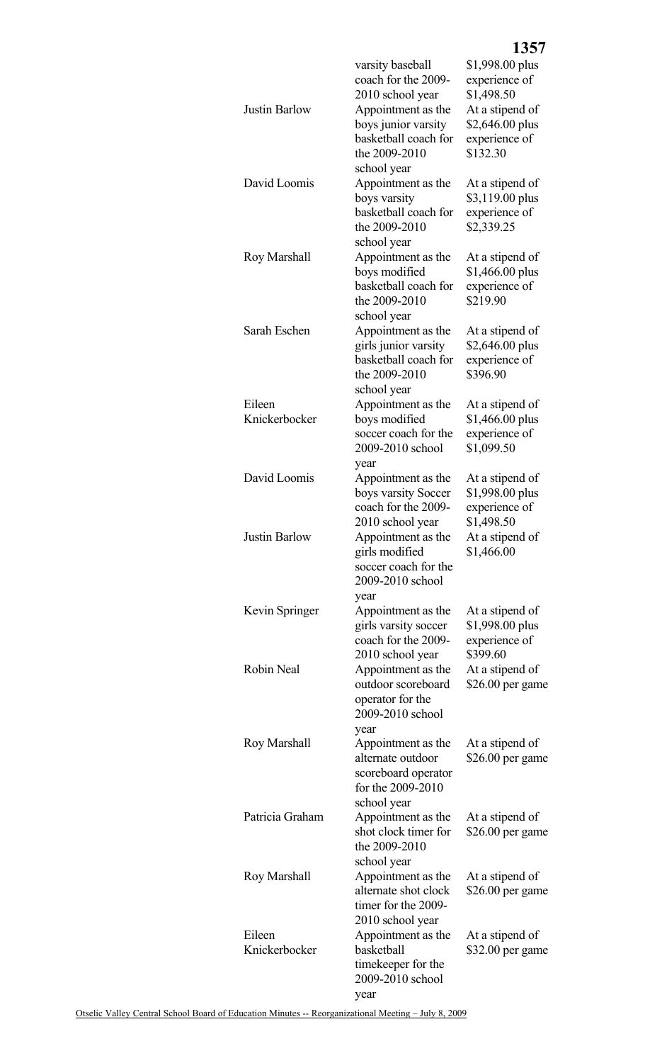|                      |                                              | 1357                                |
|----------------------|----------------------------------------------|-------------------------------------|
|                      | varsity baseball                             | \$1,998.00 plus                     |
|                      | coach for the 2009-                          | experience of                       |
| <b>Justin Barlow</b> | 2010 school year<br>Appointment as the       | \$1,498.50<br>At a stipend of       |
|                      | boys junior varsity                          | \$2,646.00 plus                     |
|                      | basketball coach for                         | experience of                       |
|                      | the 2009-2010                                | \$132.30                            |
|                      | school year                                  |                                     |
| David Loomis         | Appointment as the<br>boys varsity           | At a stipend of<br>\$3,119.00 plus  |
|                      | basketball coach for                         | experience of                       |
|                      | the 2009-2010                                | \$2,339.25                          |
|                      | school year                                  |                                     |
| Roy Marshall         | Appointment as the                           | At a stipend of                     |
|                      | boys modified<br>basketball coach for        | \$1,466.00 plus<br>experience of    |
|                      | the 2009-2010                                | \$219.90                            |
|                      | school year                                  |                                     |
| Sarah Eschen         | Appointment as the                           | At a stipend of                     |
|                      | girls junior varsity<br>basketball coach for | \$2,646.00 plus                     |
|                      | the 2009-2010                                | experience of<br>\$396.90           |
|                      | school year                                  |                                     |
| Eileen               | Appointment as the                           | At a stipend of                     |
| Knickerbocker        | boys modified<br>soccer coach for the        | \$1,466.00 plus                     |
|                      | 2009-2010 school                             | experience of<br>\$1,099.50         |
|                      | year                                         |                                     |
| David Loomis         | Appointment as the                           | At a stipend of                     |
|                      | boys varsity Soccer                          | \$1,998.00 plus                     |
|                      | coach for the 2009-<br>2010 school year      | experience of<br>\$1,498.50         |
| Justin Barlow        | Appointment as the                           | At a stipend of                     |
|                      | girls modified                               | \$1,466.00                          |
|                      | soccer coach for the                         |                                     |
|                      | 2009-2010 school<br>year                     |                                     |
| Kevin Springer       | Appointment as the                           | At a stipend of                     |
|                      | girls varsity soccer                         | \$1,998.00 plus                     |
|                      | coach for the 2009-                          | experience of                       |
| Robin Neal           | 2010 school year<br>Appointment as the       | \$399.60<br>At a stipend of         |
|                      | outdoor scoreboard                           | $$26.00$ per game                   |
|                      | operator for the                             |                                     |
|                      | 2009-2010 school                             |                                     |
| Roy Marshall         | year<br>Appointment as the                   | At a stipend of                     |
|                      | alternate outdoor                            | $$26.00$ per game                   |
|                      | scoreboard operator                          |                                     |
|                      | for the 2009-2010                            |                                     |
| Patricia Graham      | school year<br>Appointment as the            | At a stipend of                     |
|                      | shot clock timer for                         | $$26.00$ per game                   |
|                      | the 2009-2010                                |                                     |
|                      | school year                                  |                                     |
| Roy Marshall         | Appointment as the<br>alternate shot clock   | At a stipend of<br>\$26.00 per game |
|                      | timer for the 2009-                          |                                     |
|                      | 2010 school year                             |                                     |
| Eileen               | Appointment as the                           | At a stipend of                     |
| Knickerbocker        | basketball<br>timekeeper for the             | \$32.00 per game                    |
|                      | 2009-2010 school                             |                                     |
|                      | year                                         |                                     |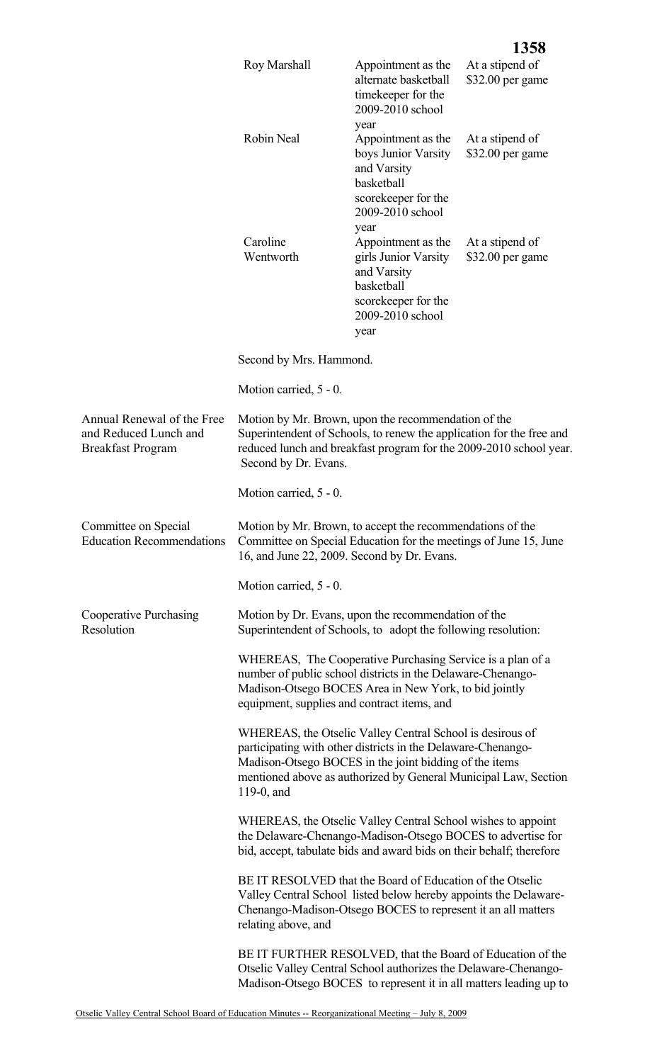|                                                                                 |                                                                                                                                                                                                                                                                         |                                                                                                                                    | 1358                                |
|---------------------------------------------------------------------------------|-------------------------------------------------------------------------------------------------------------------------------------------------------------------------------------------------------------------------------------------------------------------------|------------------------------------------------------------------------------------------------------------------------------------|-------------------------------------|
|                                                                                 | Roy Marshall                                                                                                                                                                                                                                                            | Appointment as the<br>alternate basketball<br>timekeeper for the<br>2009-2010 school<br>year                                       | At a stipend of<br>\$32.00 per game |
|                                                                                 | Robin Neal                                                                                                                                                                                                                                                              | Appointment as the<br>boys Junior Varsity<br>and Varsity<br>basketball<br>scorekeeper for the<br>2009-2010 school                  | At a stipend of<br>\$32.00 per game |
|                                                                                 | Caroline<br>Wentworth                                                                                                                                                                                                                                                   | year<br>Appointment as the<br>girls Junior Varsity<br>and Varsity<br>basketball<br>scorekeeper for the<br>2009-2010 school<br>year | At a stipend of<br>\$32.00 per game |
|                                                                                 | Second by Mrs. Hammond.                                                                                                                                                                                                                                                 |                                                                                                                                    |                                     |
|                                                                                 | Motion carried, 5 - 0.                                                                                                                                                                                                                                                  |                                                                                                                                    |                                     |
| Annual Renewal of the Free<br>and Reduced Lunch and<br><b>Breakfast Program</b> | Motion by Mr. Brown, upon the recommendation of the<br>Superintendent of Schools, to renew the application for the free and<br>reduced lunch and breakfast program for the 2009-2010 school year.<br>Second by Dr. Evans.                                               |                                                                                                                                    |                                     |
|                                                                                 | Motion carried, 5 - 0.                                                                                                                                                                                                                                                  |                                                                                                                                    |                                     |
| Committee on Special<br><b>Education Recommendations</b>                        | Motion by Mr. Brown, to accept the recommendations of the<br>Committee on Special Education for the meetings of June 15, June<br>16, and June 22, 2009. Second by Dr. Evans.                                                                                            |                                                                                                                                    |                                     |
|                                                                                 | Motion carried, 5 - 0.                                                                                                                                                                                                                                                  |                                                                                                                                    |                                     |
| Cooperative Purchasing<br>Resolution                                            | Motion by Dr. Evans, upon the recommendation of the                                                                                                                                                                                                                     | Superintendent of Schools, to adopt the following resolution:                                                                      |                                     |
|                                                                                 | number of public school districts in the Delaware-Chenango-<br>Madison-Otsego BOCES Area in New York, to bid jointly<br>equipment, supplies and contract items, and                                                                                                     | WHEREAS, The Cooperative Purchasing Service is a plan of a                                                                         |                                     |
|                                                                                 | WHEREAS, the Otselic Valley Central School is desirous of<br>participating with other districts in the Delaware-Chenango-<br>Madison-Otsego BOCES in the joint bidding of the items<br>mentioned above as authorized by General Municipal Law, Section<br>$119-0$ , and |                                                                                                                                    |                                     |
|                                                                                 | the Delaware-Chenango-Madison-Otsego BOCES to advertise for<br>bid, accept, tabulate bids and award bids on their behalf; therefore                                                                                                                                     | WHEREAS, the Otselic Valley Central School wishes to appoint                                                                       |                                     |
|                                                                                 | BE IT RESOLVED that the Board of Education of the Otselic<br>Chenango-Madison-Otsego BOCES to represent it an all matters<br>relating above, and                                                                                                                        | Valley Central School listed below hereby appoints the Delaware-                                                                   |                                     |
|                                                                                 | BE IT FURTHER RESOLVED, that the Board of Education of the<br>Otselic Valley Central School authorizes the Delaware-Chenango-<br>Madison-Otsego BOCES to represent it in all matters leading up to                                                                      |                                                                                                                                    |                                     |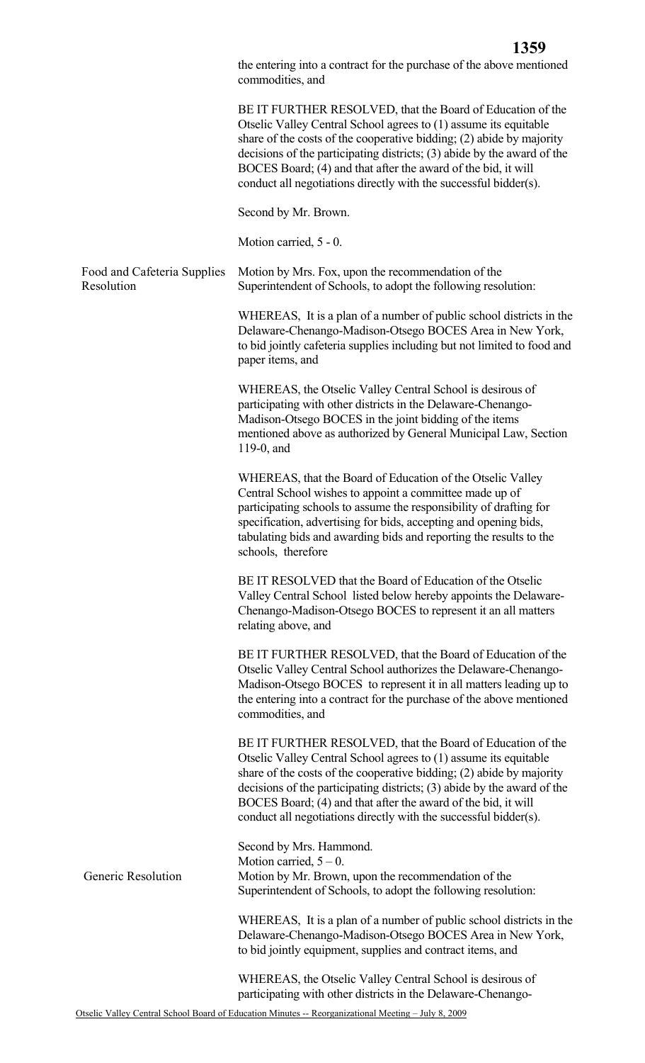the entering into a contract for the purchase of the above mentioned commodities, and

BE IT FURTHER RESOLVED, that the Board of Education of the Otselic Valley Central School agrees to (1) assume its equitable share of the costs of the cooperative bidding; (2) abide by majority decisions of the participating districts; (3) abide by the award of the BOCES Board; (4) and that after the award of the bid, it will conduct all negotiations directly with the successful bidder(s).

Second by Mr. Brown.

Motion carried, 5 - 0.

Food and Cafeteria Supplies Resolution Motion by Mrs. Fox, upon the recommendation of the Superintendent of Schools, to adopt the following resolution:

> WHEREAS, It is a plan of a number of public school districts in the Delaware-Chenango-Madison-Otsego BOCES Area in New York, to bid jointly cafeteria supplies including but not limited to food and paper items, and

WHEREAS, the Otselic Valley Central School is desirous of participating with other districts in the Delaware-Chenango-Madison-Otsego BOCES in the joint bidding of the items mentioned above as authorized by General Municipal Law, Section 119-0, and

WHEREAS, that the Board of Education of the Otselic Valley Central School wishes to appoint a committee made up of participating schools to assume the responsibility of drafting for specification, advertising for bids, accepting and opening bids, tabulating bids and awarding bids and reporting the results to the schools, therefore

BE IT RESOLVED that the Board of Education of the Otselic Valley Central School listed below hereby appoints the Delaware-Chenango-Madison-Otsego BOCES to represent it an all matters relating above, and

BE IT FURTHER RESOLVED, that the Board of Education of the Otselic Valley Central School authorizes the Delaware-Chenango-Madison-Otsego BOCES to represent it in all matters leading up to the entering into a contract for the purchase of the above mentioned commodities, and

BE IT FURTHER RESOLVED, that the Board of Education of the Otselic Valley Central School agrees to (1) assume its equitable share of the costs of the cooperative bidding; (2) abide by majority decisions of the participating districts; (3) abide by the award of the BOCES Board; (4) and that after the award of the bid, it will conduct all negotiations directly with the successful bidder(s).

Second by Mrs. Hammond. Motion carried,  $5 - 0$ . Generic Resolution Motion by Mr. Brown, upon the recommendation of the Superintendent of Schools, to adopt the following resolution:

> WHEREAS, It is a plan of a number of public school districts in the Delaware-Chenango-Madison-Otsego BOCES Area in New York, to bid jointly equipment, supplies and contract items, and

WHEREAS, the Otselic Valley Central School is desirous of participating with other districts in the Delaware-Chenango-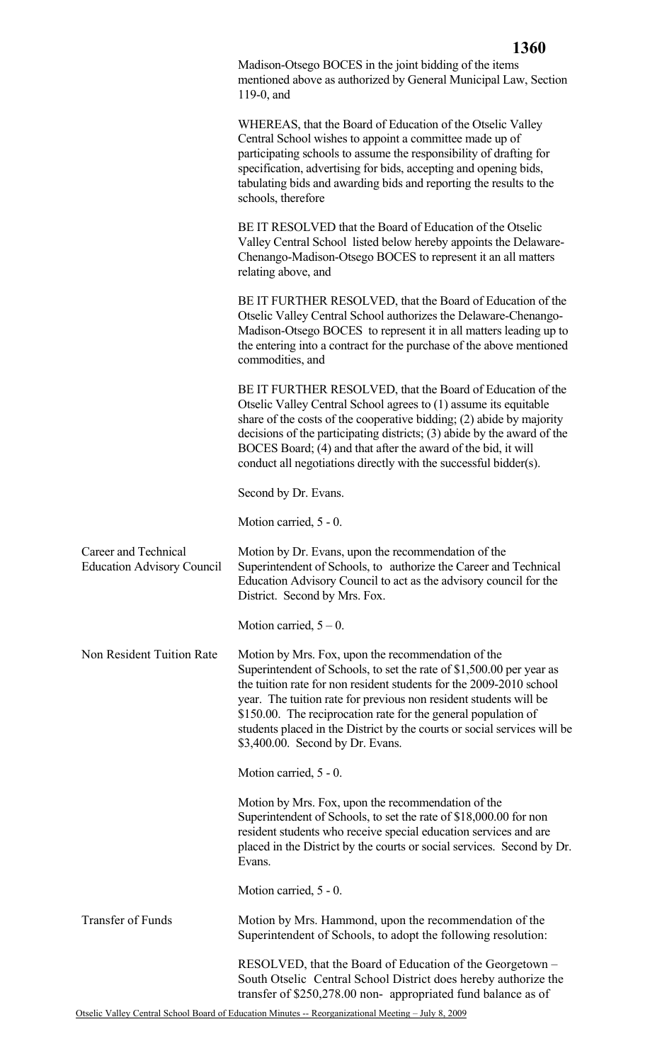|                                                           | TUVA                                                                                                                                                                                                                                                                                                                                                                                                                                                     |
|-----------------------------------------------------------|----------------------------------------------------------------------------------------------------------------------------------------------------------------------------------------------------------------------------------------------------------------------------------------------------------------------------------------------------------------------------------------------------------------------------------------------------------|
|                                                           | Madison-Otsego BOCES in the joint bidding of the items<br>mentioned above as authorized by General Municipal Law, Section<br>$119-0$ , and                                                                                                                                                                                                                                                                                                               |
|                                                           | WHEREAS, that the Board of Education of the Otselic Valley<br>Central School wishes to appoint a committee made up of<br>participating schools to assume the responsibility of drafting for<br>specification, advertising for bids, accepting and opening bids,<br>tabulating bids and awarding bids and reporting the results to the<br>schools, therefore                                                                                              |
|                                                           | BE IT RESOLVED that the Board of Education of the Otselic<br>Valley Central School listed below hereby appoints the Delaware-<br>Chenango-Madison-Otsego BOCES to represent it an all matters<br>relating above, and                                                                                                                                                                                                                                     |
|                                                           | BE IT FURTHER RESOLVED, that the Board of Education of the<br>Otselic Valley Central School authorizes the Delaware-Chenango-<br>Madison-Otsego BOCES to represent it in all matters leading up to<br>the entering into a contract for the purchase of the above mentioned<br>commodities, and                                                                                                                                                           |
|                                                           | BE IT FURTHER RESOLVED, that the Board of Education of the<br>Otselic Valley Central School agrees to (1) assume its equitable<br>share of the costs of the cooperative bidding; (2) abide by majority<br>decisions of the participating districts; (3) abide by the award of the<br>BOCES Board; (4) and that after the award of the bid, it will<br>conduct all negotiations directly with the successful bidder(s).                                   |
|                                                           | Second by Dr. Evans.                                                                                                                                                                                                                                                                                                                                                                                                                                     |
|                                                           | Motion carried, 5 - 0.                                                                                                                                                                                                                                                                                                                                                                                                                                   |
| Career and Technical<br><b>Education Advisory Council</b> | Motion by Dr. Evans, upon the recommendation of the<br>Superintendent of Schools, to authorize the Career and Technical<br>Education Advisory Council to act as the advisory council for the<br>District. Second by Mrs. Fox.                                                                                                                                                                                                                            |
|                                                           | Motion carried, $5 - 0$ .                                                                                                                                                                                                                                                                                                                                                                                                                                |
| Non Resident Tuition Rate                                 | Motion by Mrs. Fox, upon the recommendation of the<br>Superintendent of Schools, to set the rate of \$1,500.00 per year as<br>the tuition rate for non resident students for the 2009-2010 school<br>year. The tuition rate for previous non resident students will be<br>\$150.00. The reciprocation rate for the general population of<br>students placed in the District by the courts or social services will be<br>\$3,400.00. Second by Dr. Evans. |
|                                                           | Motion carried, 5 - 0.                                                                                                                                                                                                                                                                                                                                                                                                                                   |
|                                                           | Motion by Mrs. Fox, upon the recommendation of the<br>Superintendent of Schools, to set the rate of \$18,000.00 for non<br>resident students who receive special education services and are<br>placed in the District by the courts or social services. Second by Dr.<br>Evans.                                                                                                                                                                          |
|                                                           | Motion carried, 5 - 0.                                                                                                                                                                                                                                                                                                                                                                                                                                   |
| <b>Transfer of Funds</b>                                  | Motion by Mrs. Hammond, upon the recommendation of the<br>Superintendent of Schools, to adopt the following resolution:                                                                                                                                                                                                                                                                                                                                  |
|                                                           | RESOLVED, that the Board of Education of the Georgetown –<br>South Otselic Central School District does hereby authorize the<br>transfer of \$250,278.00 non- appropriated fund balance as of                                                                                                                                                                                                                                                            |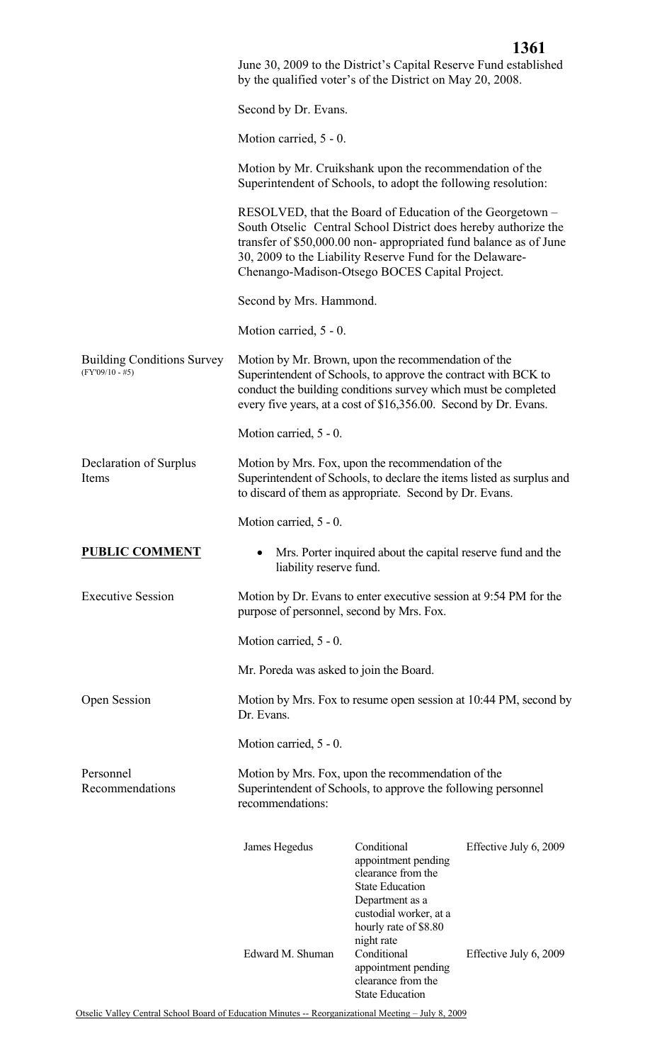|                                                        | June 30, 2009 to the District's Capital Reserve Fund established<br>by the qualified voter's of the District on May 20, 2008.                                                                                                                               |                                                                                                                                                                                                                                                                                                                |                        |
|--------------------------------------------------------|-------------------------------------------------------------------------------------------------------------------------------------------------------------------------------------------------------------------------------------------------------------|----------------------------------------------------------------------------------------------------------------------------------------------------------------------------------------------------------------------------------------------------------------------------------------------------------------|------------------------|
|                                                        | Second by Dr. Evans.                                                                                                                                                                                                                                        |                                                                                                                                                                                                                                                                                                                |                        |
|                                                        | Motion carried, 5 - 0.                                                                                                                                                                                                                                      |                                                                                                                                                                                                                                                                                                                |                        |
|                                                        | Motion by Mr. Cruikshank upon the recommendation of the<br>Superintendent of Schools, to adopt the following resolution:                                                                                                                                    |                                                                                                                                                                                                                                                                                                                |                        |
|                                                        |                                                                                                                                                                                                                                                             | RESOLVED, that the Board of Education of the Georgetown –<br>South Otselic Central School District does hereby authorize the<br>transfer of \$50,000.00 non-appropriated fund balance as of June<br>30, 2009 to the Liability Reserve Fund for the Delaware-<br>Chenango-Madison-Otsego BOCES Capital Project. |                        |
|                                                        | Second by Mrs. Hammond.                                                                                                                                                                                                                                     |                                                                                                                                                                                                                                                                                                                |                        |
|                                                        | Motion carried, 5 - 0.                                                                                                                                                                                                                                      |                                                                                                                                                                                                                                                                                                                |                        |
| <b>Building Conditions Survey</b><br>$(FY'09/10 - #5)$ | Motion by Mr. Brown, upon the recommendation of the<br>Superintendent of Schools, to approve the contract with BCK to<br>conduct the building conditions survey which must be completed<br>every five years, at a cost of \$16,356.00. Second by Dr. Evans. |                                                                                                                                                                                                                                                                                                                |                        |
|                                                        | Motion carried, 5 - 0.                                                                                                                                                                                                                                      |                                                                                                                                                                                                                                                                                                                |                        |
| Declaration of Surplus<br>Items                        | Motion by Mrs. Fox, upon the recommendation of the<br>Superintendent of Schools, to declare the items listed as surplus and<br>to discard of them as appropriate. Second by Dr. Evans.                                                                      |                                                                                                                                                                                                                                                                                                                |                        |
|                                                        | Motion carried, 5 - 0.                                                                                                                                                                                                                                      |                                                                                                                                                                                                                                                                                                                |                        |
| <b>PUBLIC COMMENT</b>                                  | Mrs. Porter inquired about the capital reserve fund and the<br>٠<br>liability reserve fund.                                                                                                                                                                 |                                                                                                                                                                                                                                                                                                                |                        |
| <b>Executive Session</b>                               | Motion by Dr. Evans to enter executive session at 9:54 PM for the<br>purpose of personnel, second by Mrs. Fox.                                                                                                                                              |                                                                                                                                                                                                                                                                                                                |                        |
|                                                        | Motion carried, 5 - 0.                                                                                                                                                                                                                                      |                                                                                                                                                                                                                                                                                                                |                        |
|                                                        | Mr. Poreda was asked to join the Board.                                                                                                                                                                                                                     |                                                                                                                                                                                                                                                                                                                |                        |
| Open Session                                           | Motion by Mrs. Fox to resume open session at 10:44 PM, second by<br>Dr. Evans.                                                                                                                                                                              |                                                                                                                                                                                                                                                                                                                |                        |
|                                                        | Motion carried, 5 - 0.                                                                                                                                                                                                                                      |                                                                                                                                                                                                                                                                                                                |                        |
| Personnel<br>Recommendations                           | Motion by Mrs. Fox, upon the recommendation of the<br>Superintendent of Schools, to approve the following personnel<br>recommendations:                                                                                                                     |                                                                                                                                                                                                                                                                                                                |                        |
|                                                        | James Hegedus                                                                                                                                                                                                                                               | Conditional<br>appointment pending<br>clearance from the<br><b>State Education</b><br>Department as a<br>custodial worker, at a                                                                                                                                                                                | Effective July 6, 2009 |
|                                                        | Edward M. Shuman                                                                                                                                                                                                                                            | hourly rate of \$8.80<br>night rate<br>Conditional<br>appointment pending<br>clearance from the<br><b>State Education</b>                                                                                                                                                                                      | Effective July 6, 2009 |